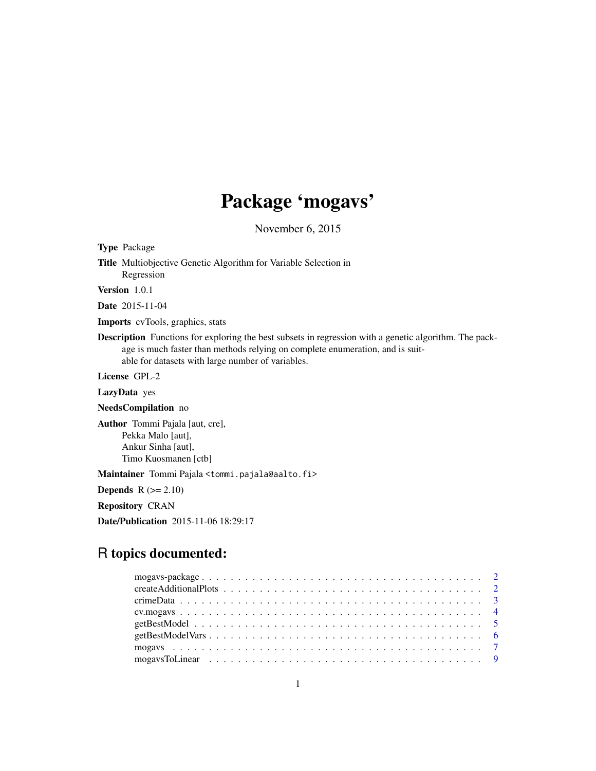## Package 'mogavs'

November 6, 2015

Type Package

Title Multiobjective Genetic Algorithm for Variable Selection in Regression

Version 1.0.1

Date 2015-11-04

Imports cvTools, graphics, stats

Description Functions for exploring the best subsets in regression with a genetic algorithm. The package is much faster than methods relying on complete enumeration, and is suitable for datasets with large number of variables.

License GPL-2

LazyData yes

NeedsCompilation no

Author Tommi Pajala [aut, cre], Pekka Malo [aut], Ankur Sinha [aut], Timo Kuosmanen [ctb]

Maintainer Tommi Pajala <tommi.pajala@aalto.fi>

**Depends**  $R$  ( $>= 2.10$ )

Repository CRAN

Date/Publication 2015-11-06 18:29:17

## R topics documented: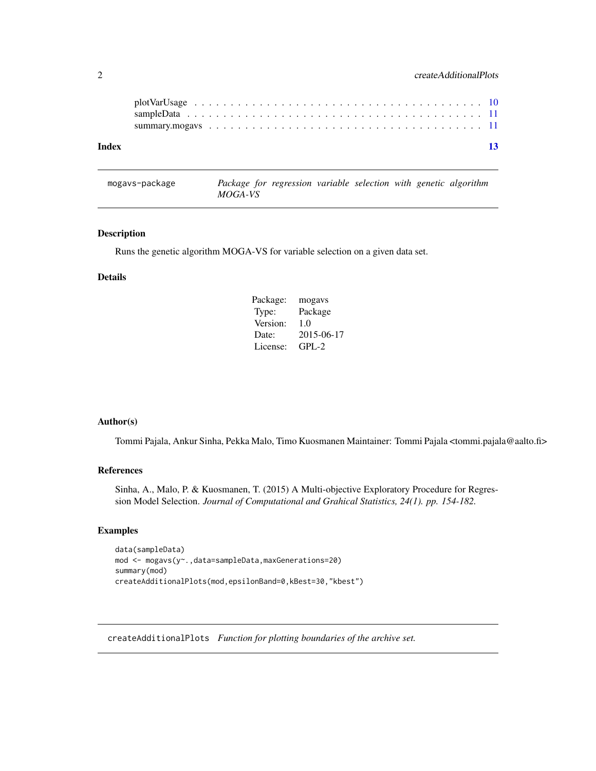<span id="page-1-0"></span>2 createAdditionalPlots

mogavs-package *Package for regression variable selection with genetic algorithm MOGA-VS*

#### Description

Runs the genetic algorithm MOGA-VS for variable selection on a given data set.

#### Details

| Package: | mogavs     |
|----------|------------|
| Type:    | Package    |
| Version: | 1.0        |
| Date:    | 2015-06-17 |
| License: | $GPI - 2$  |

#### Author(s)

Tommi Pajala, Ankur Sinha, Pekka Malo, Timo Kuosmanen Maintainer: Tommi Pajala <tommi.pajala@aalto.fi>

## References

Sinha, A., Malo, P. & Kuosmanen, T. (2015) A Multi-objective Exploratory Procedure for Regression Model Selection. *Journal of Computational and Grahical Statistics, 24(1). pp. 154-182.*

## Examples

```
data(sampleData)
mod <- mogavs(y~.,data=sampleData,maxGenerations=20)
summary(mod)
createAdditionalPlots(mod,epsilonBand=0,kBest=30,"kbest")
```
<span id="page-1-1"></span>createAdditionalPlots *Function for plotting boundaries of the archive set.*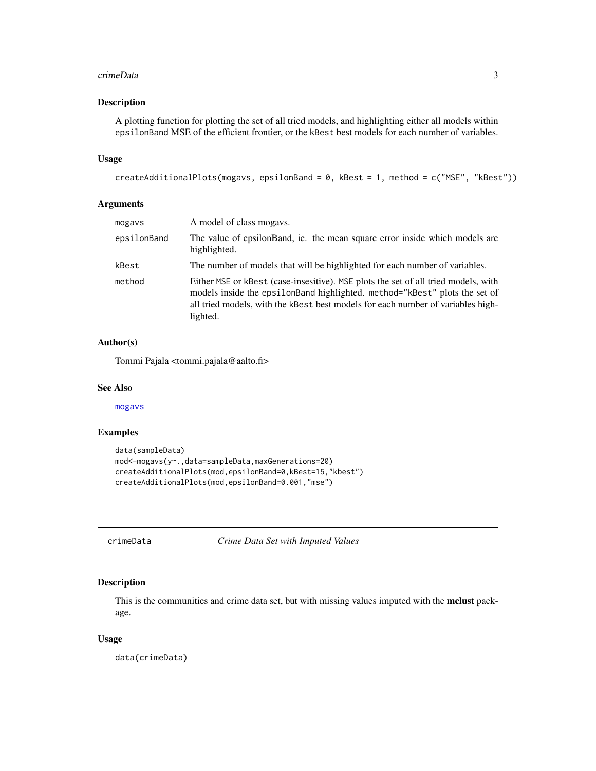#### <span id="page-2-0"></span>crimeData 3

#### Description

A plotting function for plotting the set of all tried models, and highlighting either all models within epsilonBand MSE of the efficient frontier, or the kBest best models for each number of variables.

## Usage

```
createAdditionalPlots(mogavs, epsilonBand = 0, kBest = 1, method = c("MSE", "kBest"))
```
## Arguments

| mogavs      | A model of class mogays.                                                                                                                                                                                                                                         |
|-------------|------------------------------------------------------------------------------------------------------------------------------------------------------------------------------------------------------------------------------------------------------------------|
| epsilonBand | The value of epsilonBand, ie. the mean square error inside which models are<br>highlighted.                                                                                                                                                                      |
| kBest       | The number of models that will be highlighted for each number of variables.                                                                                                                                                                                      |
| method      | Either MSE or kBest (case-insesitive). MSE plots the set of all tried models, with<br>models inside the epsilon Band highlighted. method="kBest" plots the set of<br>all tried models, with the kBest best models for each number of variables high-<br>lighted. |

## Author(s)

Tommi Pajala <tommi.pajala@aalto.fi>

#### See Also

[mogavs](#page-6-1)

## Examples

```
data(sampleData)
mod<-mogavs(y~.,data=sampleData,maxGenerations=20)
createAdditionalPlots(mod,epsilonBand=0,kBest=15,"kbest")
createAdditionalPlots(mod,epsilonBand=0.001,"mse")
```
crimeData *Crime Data Set with Imputed Values*

#### Description

This is the communities and crime data set, but with missing values imputed with the **mclust** package.

#### Usage

data(crimeData)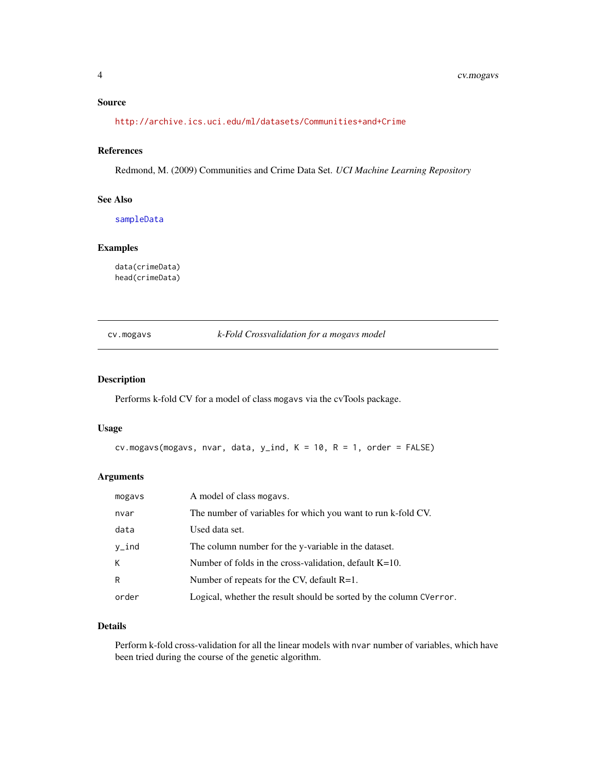## <span id="page-3-0"></span>Source

<http://archive.ics.uci.edu/ml/datasets/Communities+and+Crime>

#### References

Redmond, M. (2009) Communities and Crime Data Set. *UCI Machine Learning Repository*

#### See Also

[sampleData](#page-10-1)

#### Examples

data(crimeData) head(crimeData)

cv.mogavs *k-Fold Crossvalidation for a mogavs model*

## Description

Performs k-fold CV for a model of class mogavs via the cvTools package.

#### Usage

```
cv.mogavs(mogavs, nvar, data, y_index, K = 10, R = 1, order = FALSE)
```
## Arguments

| mogavs | A model of class mogavs.                                            |
|--------|---------------------------------------------------------------------|
| nvar   | The number of variables for which you want to run k-fold CV.        |
| data   | Used data set.                                                      |
| y_ind  | The column number for the y-variable in the dataset.                |
| К      | Number of folds in the cross-validation, default $K=10$ .           |
| R      | Number of repeats for the CV, default $R=1$ .                       |
| order  | Logical, whether the result should be sorted by the column CVerror. |

## Details

Perform k-fold cross-validation for all the linear models with nvar number of variables, which have been tried during the course of the genetic algorithm.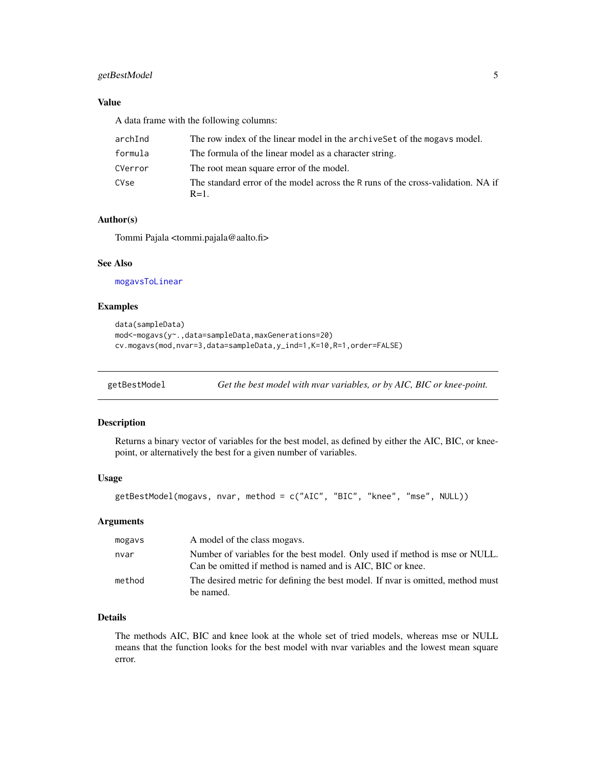## <span id="page-4-0"></span>getBestModel 5

## Value

A data frame with the following columns:

| archInd | The row index of the linear model in the archive Set of the mogave model.                   |
|---------|---------------------------------------------------------------------------------------------|
| formula | The formula of the linear model as a character string.                                      |
| CVerror | The root mean square error of the model.                                                    |
| CVse    | The standard error of the model across the R runs of the cross-validation. NA if<br>$R=1$ . |

## Author(s)

Tommi Pajala <tommi.pajala@aalto.fi>

## See Also

[mogavsToLinear](#page-8-1)

## Examples

```
data(sampleData)
mod<-mogavs(y~.,data=sampleData,maxGenerations=20)
cv.mogavs(mod,nvar=3,data=sampleData,y_ind=1,K=10,R=1,order=FALSE)
```
<span id="page-4-1"></span>

getBestModel *Get the best model with nvar variables, or by AIC, BIC or knee-point.*

## **Description**

Returns a binary vector of variables for the best model, as defined by either the AIC, BIC, or kneepoint, or alternatively the best for a given number of variables.

#### Usage

```
getBestModel(mogavs, nvar, method = c("AIC", "BIC", "knee", "mse", NULL))
```
#### Arguments

| mogavs | A model of the class mogays.                                                                                                              |
|--------|-------------------------------------------------------------------------------------------------------------------------------------------|
| nvar   | Number of variables for the best model. Only used if method is mse or NULL.<br>Can be omitted if method is named and is AIC, BIC or knee. |
| method | The desired metric for defining the best model. If nyar is omitted, method must<br>be named.                                              |

## Details

The methods AIC, BIC and knee look at the whole set of tried models, whereas mse or NULL means that the function looks for the best model with nvar variables and the lowest mean square error.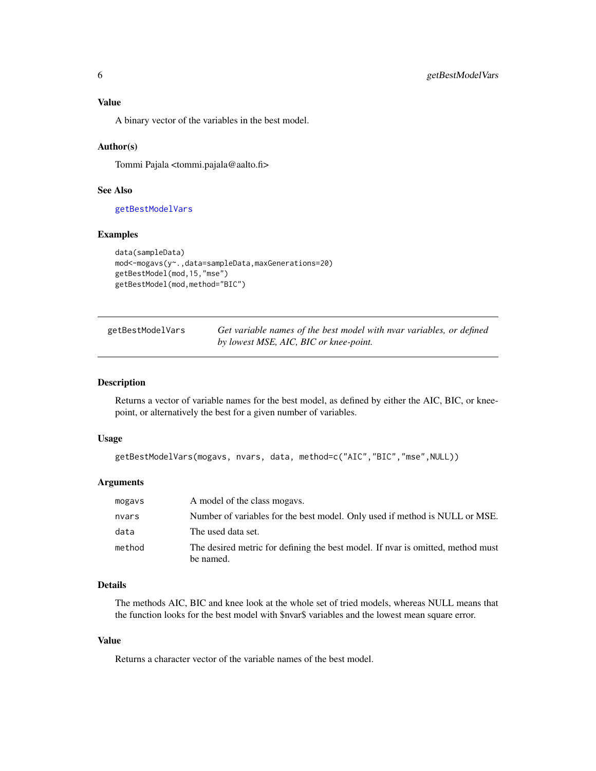## <span id="page-5-0"></span>Value

A binary vector of the variables in the best model.

#### Author(s)

Tommi Pajala <tommi.pajala@aalto.fi>

#### See Also

[getBestModelVars](#page-5-1)

## Examples

```
data(sampleData)
mod<-mogavs(y~.,data=sampleData,maxGenerations=20)
getBestModel(mod,15,"mse")
getBestModel(mod,method="BIC")
```
<span id="page-5-1"></span>

| getBestModelVars | Get variable names of the best model with nvar variables, or defined |
|------------------|----------------------------------------------------------------------|
|                  | by lowest MSE, AIC, BIC or knee-point.                               |

#### Description

Returns a vector of variable names for the best model, as defined by either the AIC, BIC, or kneepoint, or alternatively the best for a given number of variables.

#### Usage

```
getBestModelVars(mogavs, nvars, data, method=c("AIC","BIC","mse",NULL))
```
#### Arguments

| mogavs | A model of the class mogays.                                                                 |
|--------|----------------------------------------------------------------------------------------------|
| nvars  | Number of variables for the best model. Only used if method is NULL or MSE.                  |
| data   | The used data set.                                                                           |
| method | The desired metric for defining the best model. If nyar is omitted, method must<br>be named. |

## Details

The methods AIC, BIC and knee look at the whole set of tried models, whereas NULL means that the function looks for the best model with \$nvar\$ variables and the lowest mean square error.

#### Value

Returns a character vector of the variable names of the best model.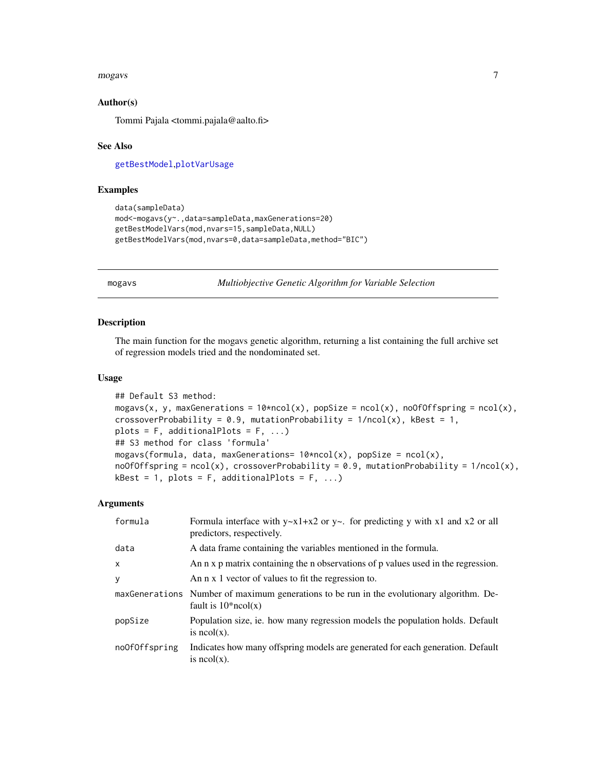#### <span id="page-6-0"></span>mogavs 7

#### Author(s)

Tommi Pajala <tommi.pajala@aalto.fi>

#### See Also

[getBestModel](#page-4-1),[plotVarUsage](#page-9-1)

#### Examples

```
data(sampleData)
mod<-mogavs(y~.,data=sampleData,maxGenerations=20)
getBestModelVars(mod,nvars=15,sampleData,NULL)
getBestModelVars(mod,nvars=0,data=sampleData,method="BIC")
```
<span id="page-6-1"></span>mogavs *Multiobjective Genetic Algorithm for Variable Selection*

## Description

The main function for the mogavs genetic algorithm, returning a list containing the full archive set of regression models tried and the nondominated set.

#### Usage

```
## Default S3 method:
mogavs(x, y, maxGenerations = 10*ncol(x), popSize = ncol(x), noOfOffspring = ncol(x),
crossoverProbability = 0.9, mutationProbability = 1/ncol(x), kBest = 1,
plots = F, additionalPlots = F, ...)
## S3 method for class 'formula'
mogavs(formula, data, maxGenerations= 10*ncol(x), popSize = ncol(x),
noOfOffspring = ncol(x), crossoverProbability = 0.9, mutationProbability = 1/ncol(x),
kBest = 1, plots = F, additionalPlots = F, ...)
```
#### Arguments

| formula       | Formula interface with $y \sim x1 + x2$ or $y \sim$ . for predicting y with x1 and x2 or all<br>predictors, respectively. |
|---------------|---------------------------------------------------------------------------------------------------------------------------|
| data          | A data frame containing the variables mentioned in the formula.                                                           |
| $\times$      | An n x p matrix containing the n observations of p values used in the regression.                                         |
| y             | An n x 1 vector of values to fit the regression to.                                                                       |
|               | maxGenerations Number of maximum generations to be run in the evolutionary algorithm. De-<br>fault is $10*ncol(x)$        |
| popSize       | Population size, ie. how many regression models the population holds. Default<br>is $ncol(x)$ .                           |
| noOfOffspring | Indicates how many offspring models are generated for each generation. Default<br>is $ncol(x)$ .                          |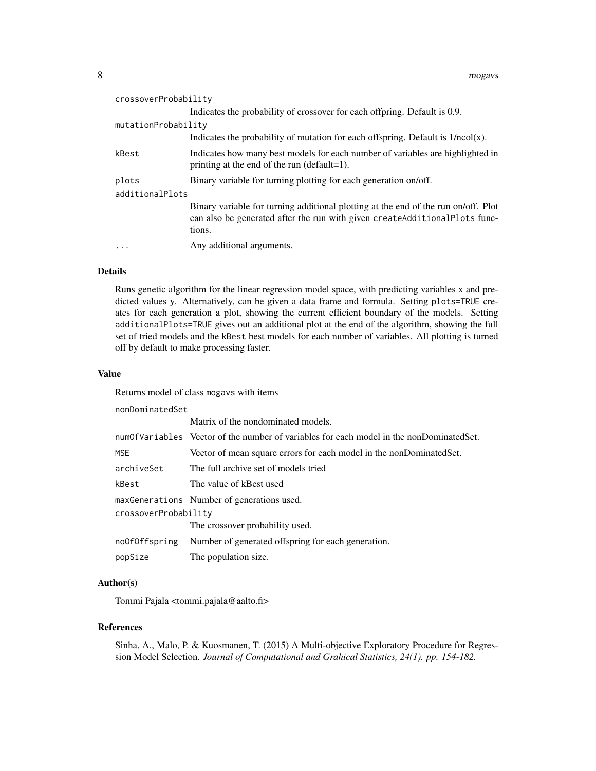| crossoverProbability |                                                                                                                                                                            |  |
|----------------------|----------------------------------------------------------------------------------------------------------------------------------------------------------------------------|--|
|                      | Indicates the probability of crossover for each offpring. Default is 0.9.                                                                                                  |  |
| mutationProbability  |                                                                                                                                                                            |  |
|                      | Indicates the probability of mutation for each offspring. Default is $1/ncol(x)$ .                                                                                         |  |
| kBest                | Indicates how many best models for each number of variables are highlighted in<br>printing at the end of the run (default=1).                                              |  |
| plots                | Binary variable for turning plotting for each generation on/off.                                                                                                           |  |
| additionalPlots      |                                                                                                                                                                            |  |
|                      | Binary variable for turning additional plotting at the end of the run on/off. Plot<br>can also be generated after the run with given createAdditionalPlots func-<br>tions. |  |
|                      | Any additional arguments.                                                                                                                                                  |  |

## Details

Runs genetic algorithm for the linear regression model space, with predicting variables x and predicted values y. Alternatively, can be given a data frame and formula. Setting plots=TRUE creates for each generation a plot, showing the current efficient boundary of the models. Setting additionalPlots=TRUE gives out an additional plot at the end of the algorithm, showing the full set of tried models and the kBest best models for each number of variables. All plotting is turned off by default to make processing faster.

## Value

Returns model of class mogavs with items

nonDominatedSet

|                      | Matrix of the nondominated models.                                                      |  |
|----------------------|-----------------------------------------------------------------------------------------|--|
|                      | numOfVariables Vector of the number of variables for each model in the nonDominatedSet. |  |
| <b>MSE</b>           | Vector of mean square errors for each model in the nonDominatedSet.                     |  |
| archiveSet           | The full archive set of models tried                                                    |  |
| kBest                | The value of kBest used                                                                 |  |
|                      | maxGenerations Number of generations used.                                              |  |
| crossoverProbability |                                                                                         |  |
|                      | The crossover probability used.                                                         |  |
| noOfOffspring        | Number of generated offspring for each generation.                                      |  |
| popSize              | The population size.                                                                    |  |

## Author(s)

Tommi Pajala <tommi.pajala@aalto.fi>

## References

Sinha, A., Malo, P. & Kuosmanen, T. (2015) A Multi-objective Exploratory Procedure for Regression Model Selection. *Journal of Computational and Grahical Statistics, 24(1). pp. 154-182.*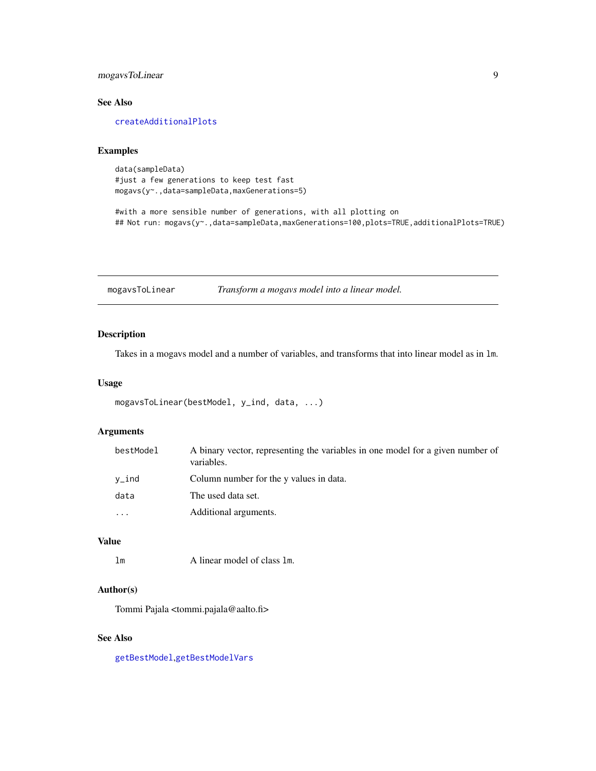## <span id="page-8-0"></span>mogavsToLinear 9

## See Also

[createAdditionalPlots](#page-1-1)

#### Examples

data(sampleData) #just a few generations to keep test fast mogavs(y~.,data=sampleData,maxGenerations=5)

#with a more sensible number of generations, with all plotting on ## Not run: mogavs(y~.,data=sampleData,maxGenerations=100,plots=TRUE,additionalPlots=TRUE)

<span id="page-8-1"></span>mogavsToLinear *Transform a mogavs model into a linear model.*

## Description

Takes in a mogavs model and a number of variables, and transforms that into linear model as in lm.

#### Usage

```
mogavsToLinear(bestModel, y_ind, data, ...)
```
## Arguments

| bestModel | A binary vector, representing the variables in one model for a given number of<br>variables. |
|-----------|----------------------------------------------------------------------------------------------|
| $v\_ind$  | Column number for the y values in data.                                                      |
| data      | The used data set.                                                                           |
| $\cdots$  | Additional arguments.                                                                        |

## Value

lm A linear model of class lm.

## Author(s)

Tommi Pajala <tommi.pajala@aalto.fi>

## See Also

[getBestModel](#page-4-1),[getBestModelVars](#page-5-1)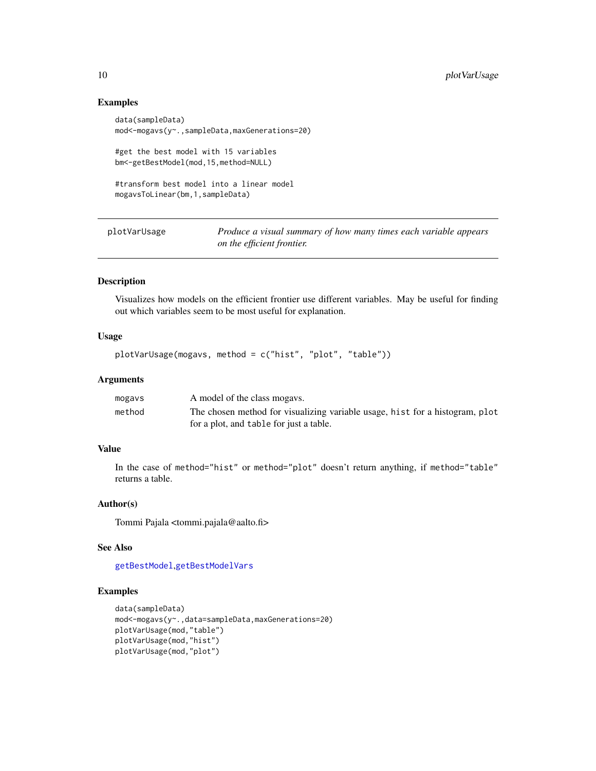#### Examples

```
data(sampleData)
mod<-mogavs(y~.,sampleData,maxGenerations=20)
#get the best model with 15 variables
bm<-getBestModel(mod,15,method=NULL)
#transform best model into a linear model
mogavsToLinear(bm,1,sampleData)
```
<span id="page-9-1"></span>plotVarUsage *Produce a visual summary of how many times each variable appears on the efficient frontier.*

#### Description

Visualizes how models on the efficient frontier use different variables. May be useful for finding out which variables seem to be most useful for explanation.

## Usage

```
plotVarUsage(mogavs, method = c("hist", "plot", "table"))
```
#### Arguments

| mogavs | A model of the class mogays.                                                 |
|--------|------------------------------------------------------------------------------|
| method | The chosen method for visualizing variable usage, hist for a histogram, plot |
|        | for a plot, and table for just a table.                                      |

## Value

In the case of method="hist" or method="plot" doesn't return anything, if method="table" returns a table.

## Author(s)

Tommi Pajala <tommi.pajala@aalto.fi>

#### See Also

[getBestModel](#page-4-1),[getBestModelVars](#page-5-1)

#### Examples

```
data(sampleData)
mod<-mogavs(y~.,data=sampleData,maxGenerations=20)
plotVarUsage(mod,"table")
plotVarUsage(mod,"hist")
plotVarUsage(mod,"plot")
```
<span id="page-9-0"></span>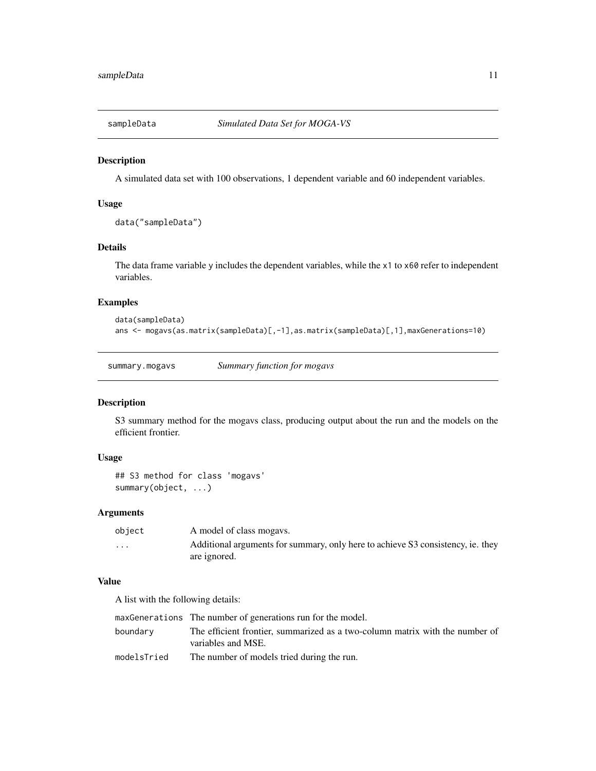<span id="page-10-1"></span><span id="page-10-0"></span>

#### Description

A simulated data set with 100 observations, 1 dependent variable and 60 independent variables.

## Usage

```
data("sampleData")
```
## Details

The data frame variable y includes the dependent variables, while the x1 to x60 refer to independent variables.

#### Examples

```
data(sampleData)
ans <- mogavs(as.matrix(sampleData)[,-1],as.matrix(sampleData)[,1],maxGenerations=10)
```
summary.mogavs *Summary function for mogavs*

#### Description

S3 summary method for the mogavs class, producing output about the run and the models on the efficient frontier.

#### Usage

```
## S3 method for class 'mogavs'
summary(object, ...)
```
#### Arguments

| object                  | A model of class mogays.                                                        |
|-------------------------|---------------------------------------------------------------------------------|
| $\cdot$ $\cdot$ $\cdot$ | Additional arguments for summary, only here to achieve S3 consistency, ie. they |
|                         | are ignored.                                                                    |

## Value

A list with the following details:

|             | maxGenerations The number of generations run for the model.                                        |
|-------------|----------------------------------------------------------------------------------------------------|
| boundary    | The efficient frontier, summarized as a two-column matrix with the number of<br>variables and MSE. |
| modelsTried | The number of models tried during the run.                                                         |
|             |                                                                                                    |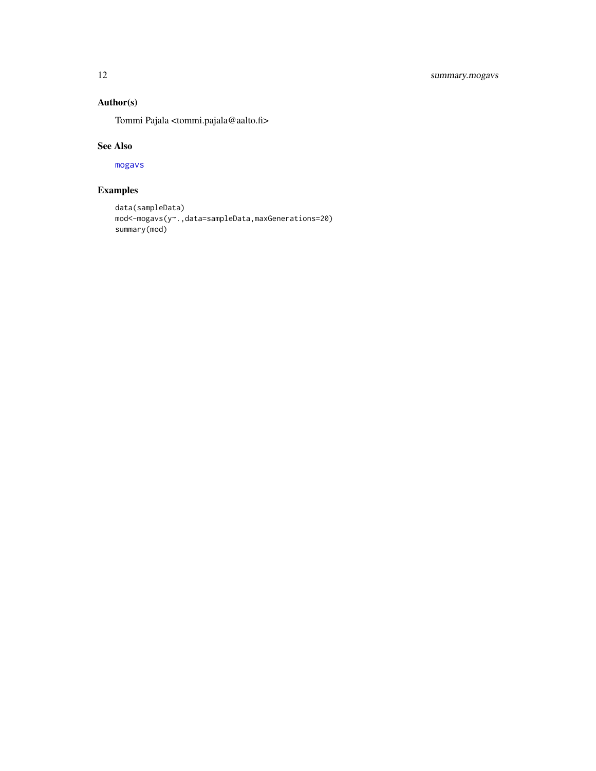## <span id="page-11-0"></span>Author(s)

Tommi Pajala <tommi.pajala@aalto.fi>

#### See Also

[mogavs](#page-6-1)

## Examples

```
data(sampleData)
mod<-mogavs(y~.,data=sampleData,maxGenerations=20)
summary(mod)
```